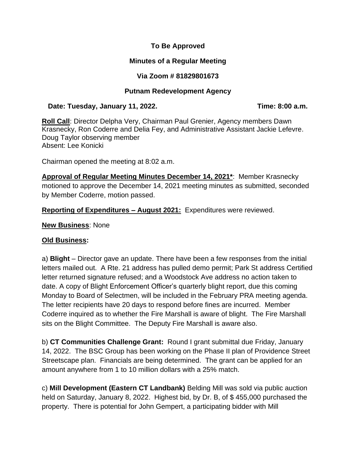### **To Be Approved**

## **Minutes of a Regular Meeting**

# **Via Zoom # 81829801673**

### **Putnam Redevelopment Agency**

#### **Date: Tuesday, January 11, 2022. Time: 8:00 a.m.**

**Roll Call**: Director Delpha Very, Chairman Paul Grenier, Agency members Dawn Krasnecky, Ron Coderre and Delia Fey, and Administrative Assistant Jackie Lefevre. Doug Taylor observing member Absent: Lee Konicki

Chairman opened the meeting at 8:02 a.m.

**Approval of Regular Meeting Minutes December 14, 2021\***: Member Krasnecky motioned to approve the December 14, 2021 meeting minutes as submitted, seconded by Member Coderre, motion passed.

**Reporting of Expenditures – August 2021:** Expenditures were reviewed.

**New Business**: None

#### **Old Business:**

a) **Blight** – Director gave an update. There have been a few responses from the initial letters mailed out. A Rte. 21 address has pulled demo permit; Park St address Certified letter returned signature refused; and a Woodstock Ave address no action taken to date. A copy of Blight Enforcement Officer's quarterly blight report, due this coming Monday to Board of Selectmen, will be included in the February PRA meeting agenda. The letter recipients have 20 days to respond before fines are incurred. Member Coderre inquired as to whether the Fire Marshall is aware of blight. The Fire Marshall sits on the Blight Committee. The Deputy Fire Marshall is aware also.

b) **CT Communities Challenge Grant:** Round I grant submittal due Friday, January 14, 2022. The BSC Group has been working on the Phase II plan of Providence Street Streetscape plan. Financials are being determined. The grant can be applied for an amount anywhere from 1 to 10 million dollars with a 25% match.

c) **Mill Development (Eastern CT Landbank)** Belding Mill was sold via public auction held on Saturday, January 8, 2022. Highest bid, by Dr. B, of \$455,000 purchased the property. There is potential for John Gempert, a participating bidder with Mill